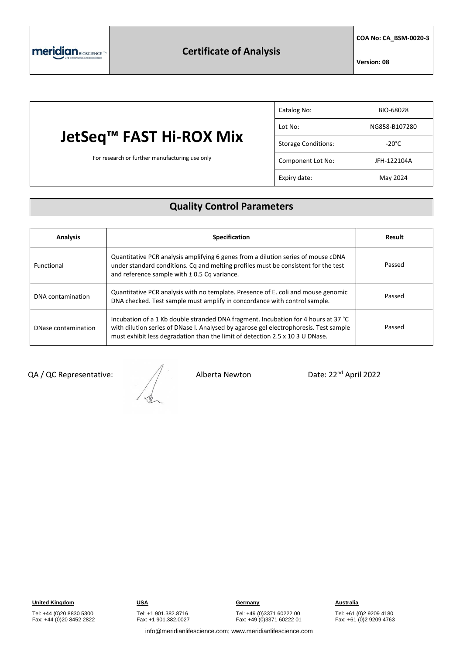

# **JetSeq™ FAST Hi-ROX Mix**

For research or further manufacturing use only

| Catalog No:                | BIO-68028       |
|----------------------------|-----------------|
| Lot No:                    | NG858-B107280   |
| <b>Storage Conditions:</b> | $-20^{\circ}$ C |
| Component Lot No:          | JFH-122104A     |
| Expiry date:               | May 2024        |

### **Quality Control Parameters**

| <b>Analysis</b>     | <b>Specification</b>                                                                                                                                                                                                                                         | Result |
|---------------------|--------------------------------------------------------------------------------------------------------------------------------------------------------------------------------------------------------------------------------------------------------------|--------|
| Functional          | Quantitative PCR analysis amplifying 6 genes from a dilution series of mouse cDNA<br>under standard conditions. Cq and melting profiles must be consistent for the test<br>and reference sample with $\pm$ 0.5 Cq variance.                                  | Passed |
| DNA contamination   | Quantitative PCR analysis with no template. Presence of E. coli and mouse genomic<br>DNA checked. Test sample must amplify in concordance with control sample.                                                                                               | Passed |
| DNase contamination | Incubation of a 1 Kb double stranded DNA fragment. Incubation for 4 hours at 37 °C<br>with dilution series of DNase I. Analysed by agarose gel electrophoresis. Test sample<br>must exhibit less degradation than the limit of detection 2.5 x 10 3 U DNase. | Passed |

QA / QC Representative:  $\sqrt{2}$  Alberta Newton Date: 22<sup>nd</sup> April 2022

**United Kingdom USA Germany Australia**

Tel: +44 (0)20 8830 5300 Fax: +44 (0)20 8452 2822 Tel: +1 901.382.8716 Fax: +1 901.382.0027

Tel: +49 (0)3371 60222 00 Fax: +49 (0)3371 60222 01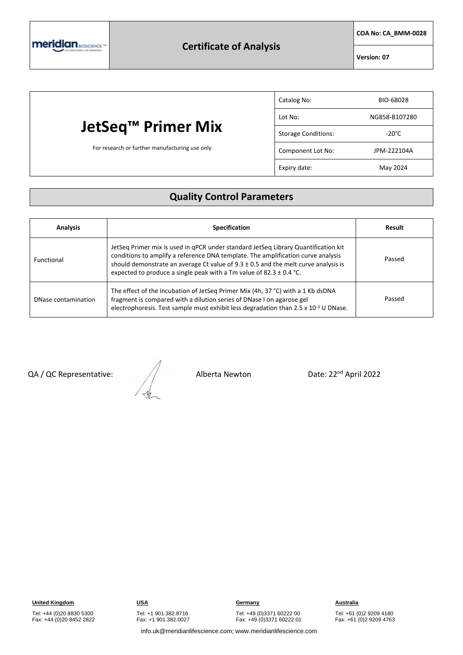

**COA No: CA\_BMM-0028**

**Version: 07**

|                                                | Catalog No:                | BIO-68028       |
|------------------------------------------------|----------------------------|-----------------|
| JetSeq™ Primer Mix                             | Lot No:                    | NG858-B107280   |
|                                                | <b>Storage Conditions:</b> | $-20^{\circ}$ C |
| For research or further manufacturing use only | Component Lot No:          | JPM-222104A     |
|                                                | Expiry date:               | May 2024        |

## **Quality Control Parameters**

| <b>Analysis</b>     | <b>Specification</b>                                                                                                                                                                                                                                                                                                                        | Result |
|---------------------|---------------------------------------------------------------------------------------------------------------------------------------------------------------------------------------------------------------------------------------------------------------------------------------------------------------------------------------------|--------|
| <b>Functional</b>   | JetSeq Primer mix is used in qPCR under standard JetSeq Library Quantification kit<br>conditions to amplify a reference DNA template. The amplification curve analysis<br>should demonstrate an average Ct value of $9.3 \pm 0.5$ and the melt curve analysis is<br>expected to produce a single peak with a Tm value of 82.3 $\pm$ 0.4 °C. | Passed |
| DNase contamination | The effect of the incubation of JetSeq Primer Mix (4h, 37 °C) with a 1 Kb dsDNA<br>fragment is compared with a dilution series of DNase I on agarose gel<br>electrophoresis. Test sample must exhibit less degradation than 2.5 x 10 <sup>-3</sup> U DNase.                                                                                 | Passed |

QA / QC Representative:  $\sqrt{2}$  Alberta Newton Date: 22<sup>nd</sup> April 2022

Tel: +44 (0)20 8830 5300 Fax: +44 (0)20 8452 2822

**United Kingdom USA Germany Australia**

Tel: +49 (0)3371 60222 00 Fax: +49 (0)3371 60222 01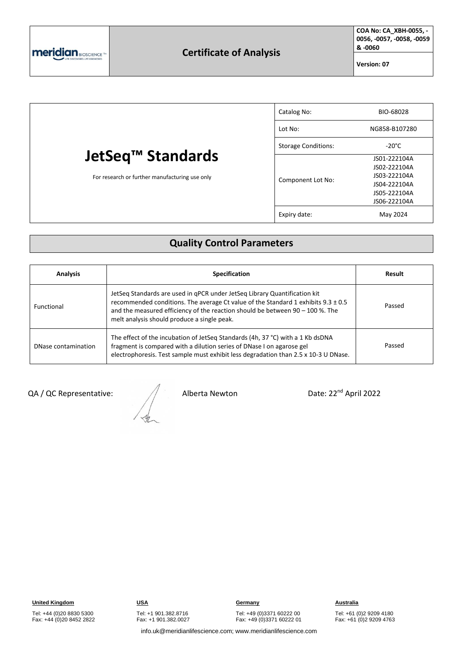

**COA No: CA\_XBH-0055, - 0056, -0057, -0058, -0059 & -0060**

**Version: 07**

| JetSeq™ Standards<br>For research or further manufacturing use only | Catalog No:                | BIO-68028                    |
|---------------------------------------------------------------------|----------------------------|------------------------------|
|                                                                     | Lot No:                    | NG858-B107280                |
|                                                                     | <b>Storage Conditions:</b> | $-20^{\circ}$ C              |
|                                                                     | Component Lot No:          | JS01-222104A<br>JS02-222104A |
|                                                                     |                            | JS03-222104A<br>JS04-222104A |
|                                                                     |                            | JS05-222104A<br>JS06-222104A |
|                                                                     | Expiry date:               | May 2024                     |

#### **Quality Control Parameters**

| <b>Analysis</b>     | <b>Specification</b>                                                                                                                                                                                                                                                                             | Result |
|---------------------|--------------------------------------------------------------------------------------------------------------------------------------------------------------------------------------------------------------------------------------------------------------------------------------------------|--------|
| <b>Functional</b>   | JetSeg Standards are used in gPCR under JetSeg Library Quantification kit<br>recommended conditions. The average Ct value of the Standard 1 exhibits 9.3 ± 0.5<br>and the measured efficiency of the reaction should be between $90 - 100$ %. The<br>melt analysis should produce a single peak. | Passed |
| DNase contamination | The effect of the incubation of JetSeq Standards (4h, 37 °C) with a 1 Kb dsDNA<br>fragment is compared with a dilution series of DNase I on agarose gel<br>electrophoresis. Test sample must exhibit less degradation than 2.5 x 10-3 U DNase.                                                   | Passed |

QA / QC Representative:  $\sqrt{ }$  Alberta Newton Date: 22<sup>nd</sup> April 2022

Tel: +44 (0)20 8830 5300 Fax: +44 (0)20 8452 2822 Tel: +1 901.382.8716 Fax: +1 901.382.0027

**United Kingdom USA Germany Australia**

Tel: +49 (0)3371 60222 00 Fax: +49 (0)3371 60222 01